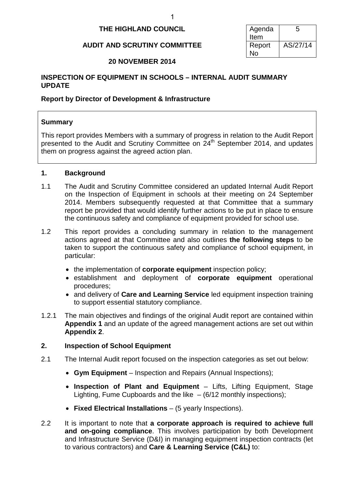## 1

# **THE HIGHLAND COUNCIL** Agenda

# **AUDIT AND SCRUTINY COMMITTEE | Report**

Item 5 No AS/27/14

# **20 NOVEMBER 2014**

# **INSPECTION OF EQUIPMENT IN SCHOOLS – INTERNAL AUDIT SUMMARY UPDATE**

# **Report by Director of Development & Infrastructure**

# **Summary**

This report provides Members with a summary of progress in relation to the Audit Report presented to the Audit and Scrutiny Committee on  $24<sup>th</sup>$  September 2014, and updates them on progress against the agreed action plan.

# **1. Background**

- 1.1 The Audit and Scrutiny Committee considered an updated Internal Audit Report on the Inspection of Equipment in schools at their meeting on 24 September 2014. Members subsequently requested at that Committee that a summary report be provided that would identify further actions to be put in place to ensure the continuous safety and compliance of equipment provided for school use.
- 1.2 This report provides a concluding summary in relation to the management actions agreed at that Committee and also outlines **the following steps** to be taken to support the continuous safety and compliance of school equipment, in particular:
	- the implementation of **corporate equipment** inspection policy;
	- establishment and deployment of **corporate equipment** operational procedures;
	- and delivery of **Care and Learning Service** led equipment inspection training to support essential statutory compliance.
- 1.2.1 The main objectives and findings of the original Audit report are contained within **Appendix 1** and an update of the agreed management actions are set out within **Appendix 2**.

# **2. Inspection of School Equipment**

- 2.1 The Internal Audit report focused on the inspection categories as set out below:
	- **Gym Equipment** Inspection and Repairs (Annual Inspections);
	- **Inspection of Plant and Equipment** Lifts, Lifting Equipment, Stage Lighting, Fume Cupboards and the like  $-$  (6/12 monthly inspections);
	- **Fixed Electrical Installations** (5 yearly Inspections).
- 2.2 It is important to note that **a corporate approach is required to achieve full and on-going compliance**. This involves participation by both Development and Infrastructure Service (D&I) in managing equipment inspection contracts (let to various contractors) and **Care & Learning Service (C&L)** to: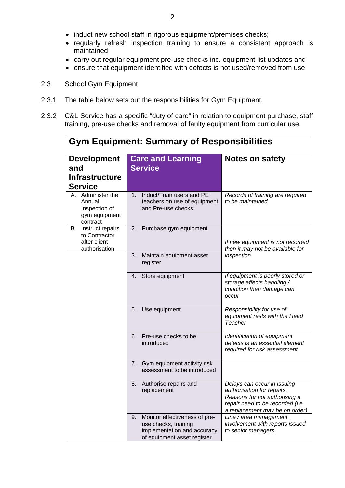- induct new school staff in rigorous equipment/premises checks;
- regularly refresh inspection training to ensure a consistent approach is maintained;
- carry out regular equipment pre-use checks inc. equipment list updates and
- ensure that equipment identified with defects is not used/removed from use.
- 2.3 School Gym Equipment
- 2.3.1 The table below sets out the responsibilities for Gym Equipment.
- 2.3.2 C&L Service has a specific "duty of care" in relation to equipment purchase, staff training, pre-use checks and removal of faulty equipment from curricular use.

|                                                                           | <b>Gym Equipment: Summary of Responsibilities</b>                                                                          |                                                                                                                                                                  |
|---------------------------------------------------------------------------|----------------------------------------------------------------------------------------------------------------------------|------------------------------------------------------------------------------------------------------------------------------------------------------------------|
| <b>Development</b><br>and<br><b>Infrastructure</b><br><b>Service</b>      | <b>Care and Learning</b><br><b>Service</b>                                                                                 | Notes on safety                                                                                                                                                  |
| A. Administer the<br>Annual<br>Inspection of<br>gym equipment<br>contract | Induct/Train users and PE<br>1.<br>teachers on use of equipment<br>and Pre-use checks                                      | Records of training are required<br>to be maintained                                                                                                             |
| Instruct repairs<br>В.<br>to Contractor<br>after client<br>authorisation  | Purchase gym equipment<br>2.                                                                                               | If new equipment is not recorded<br>then it may not be available for                                                                                             |
|                                                                           | 3.<br>Maintain equipment asset<br>register                                                                                 | inspection                                                                                                                                                       |
|                                                                           | Store equipment<br>4.                                                                                                      | If equipment is poorly stored or<br>storage affects handling /<br>condition then damage can<br>occur                                                             |
|                                                                           | 5.<br>Use equipment                                                                                                        | Responsibility for use of<br>equipment rests with the Head<br>Teacher                                                                                            |
|                                                                           | Pre-use checks to be<br>6.<br>introduced                                                                                   | Identification of equipment<br>defects is an essential element<br>required for risk assessment                                                                   |
|                                                                           | 7.<br>Gym equipment activity risk<br>assessment to be introduced                                                           |                                                                                                                                                                  |
|                                                                           | 8.<br>Authorise repairs and<br>replacement                                                                                 | Delays can occur in issuing<br>authorisation for repairs.<br>Reasons for not authorising a<br>repair need to be recorded (i.e.<br>a replacement may be on order) |
|                                                                           | Monitor effectiveness of pre-<br>9.<br>use checks, training<br>implementation and accuracy<br>of equipment asset register. | Line / area management<br>involvement with reports issued<br>to senior managers.                                                                                 |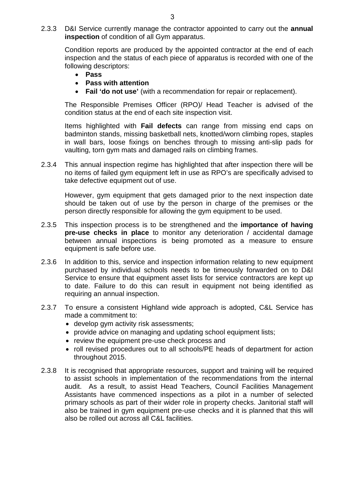2.3.3 D&I Service currently manage the contractor appointed to carry out the **annual inspection** of condition of all Gym apparatus.

Condition reports are produced by the appointed contractor at the end of each inspection and the status of each piece of apparatus is recorded with one of the following descriptors:

- **Pass**
- **Pass with attention**
- **Fail 'do not use'** (with a recommendation for repair or replacement).

The Responsible Premises Officer (RPO)/ Head Teacher is advised of the condition status at the end of each site inspection visit.

Items highlighted with **Fail defects** can range from missing end caps on badminton stands, missing basketball nets, knotted/worn climbing ropes, staples in wall bars, loose fixings on benches through to missing anti-slip pads for vaulting, torn gym mats and damaged rails on climbing frames.

2.3.4 This annual inspection regime has highlighted that after inspection there will be no items of failed gym equipment left in use as RPO's are specifically advised to take defective equipment out of use.

However, gym equipment that gets damaged prior to the next inspection date should be taken out of use by the person in charge of the premises or the person directly responsible for allowing the gym equipment to be used.

- 2.3.5 This inspection process is to be strengthened and the **importance of having pre-use checks in place** to monitor any deterioration / accidental damage between annual inspections is being promoted as a measure to ensure equipment is safe before use.
- 2.3.6 In addition to this, service and inspection information relating to new equipment purchased by individual schools needs to be timeously forwarded on to D&I Service to ensure that equipment asset lists for service contractors are kept up to date. Failure to do this can result in equipment not being identified as requiring an annual inspection.
- 2.3.7 To ensure a consistent Highland wide approach is adopted, C&L Service has made a commitment to:
	- develop gym activity risk assessments;
	- provide advice on managing and updating school equipment lists;
	- review the equipment pre-use check process and
	- roll revised procedures out to all schools/PE heads of department for action throughout 2015.
- 2.3.8 It is recognised that appropriate resources, support and training will be required to assist schools in implementation of the recommendations from the internal audit. As a result, to assist Head Teachers, Council Facilities Management Assistants have commenced inspections as a pilot in a number of selected primary schools as part of their wider role in property checks. Janitorial staff will also be trained in gym equipment pre-use checks and it is planned that this will also be rolled out across all C&L facilities.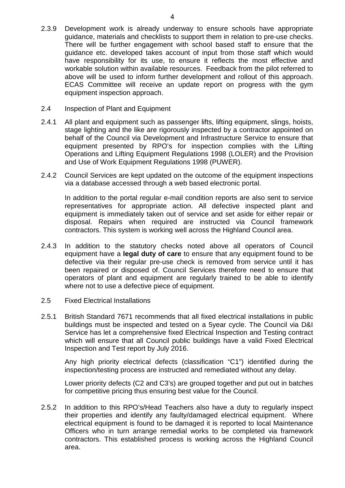- 2.3.9 Development work is already underway to ensure schools have appropriate guidance, materials and checklists to support them in relation to pre-use checks. There will be further engagement with school based staff to ensure that the guidance etc. developed takes account of input from those staff which would have responsibility for its use, to ensure it reflects the most effective and workable solution within available resources. Feedback from the pilot referred to above will be used to inform further development and rollout of this approach. ECAS Committee will receive an update report on progress with the gym equipment inspection approach.
- 2.4 Inspection of Plant and Equipment
- 2.4.1 All plant and equipment such as passenger lifts, lifting equipment, slings, hoists, stage lighting and the like are rigorously inspected by a contractor appointed on behalf of the Council via Development and Infrastructure Service to ensure that equipment presented by RPO's for inspection complies with the Lifting Operations and Lifting Equipment Regulations 1998 (LOLER) and the Provision and Use of Work Equipment Regulations 1998 (PUWER).
- 2.4.2 Council Services are kept updated on the outcome of the equipment inspections via a database accessed through a web based electronic portal.

In addition to the portal regular e-mail condition reports are also sent to service representatives for appropriate action. All defective inspected plant and equipment is immediately taken out of service and set aside for either repair or disposal. Repairs when required are instructed via Council framework contractors. This system is working well across the Highland Council area.

- 2.4.3 In addition to the statutory checks noted above all operators of Council equipment have a **legal duty of care** to ensure that any equipment found to be defective via their regular pre-use check is removed from service until it has been repaired or disposed of. Council Services therefore need to ensure that operators of plant and equipment are regularly trained to be able to identify where not to use a defective piece of equipment.
- 2.5 Fixed Electrical Installations
- 2.5.1 British Standard 7671 recommends that all fixed electrical installations in public buildings must be inspected and tested on a 5year cycle. The Council via D&I Service has let a comprehensive fixed Electrical Inspection and Testing contract which will ensure that all Council public buildings have a valid Fixed Electrical Inspection and Test report by July 2016.

Any high priority electrical defects (classification "C1") identified during the inspection/testing process are instructed and remediated without any delay.

Lower priority defects (C2 and C3's) are grouped together and put out in batches for competitive pricing thus ensuring best value for the Council.

2.5.2 In addition to this RPO's/Head Teachers also have a duty to regularly inspect their properties and identify any faulty/damaged electrical equipment. Where electrical equipment is found to be damaged it is reported to local Maintenance Officers who in turn arrange remedial works to be completed via framework contractors. This established process is working across the Highland Council area.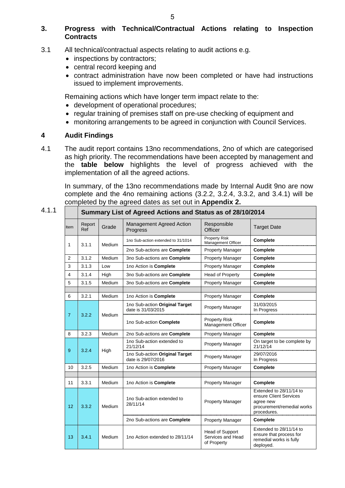# **3. Progress with Technical/Contractual Actions relating to Inspection Contracts**

- 3.1 All technical/contractual aspects relating to audit actions e.g.
	- inspections by contractors;
	- central record keeping and
	- contract administration have now been completed or have had instructions issued to implement improvements.

Remaining actions which have longer term impact relate to the:

- development of operational procedures;
- regular training of premises staff on pre-use checking of equipment and
- monitoring arrangements to be agreed in conjunction with Council Services.

# **4 Audit Findings**

4.1 The audit report contains 13no recommendations, 2no of which are categorised as high priority. The recommendations have been accepted by management and the **table below** highlights the level of progress achieved with the implementation of all the agreed actions.

In summary, of the 13no recommendations made by Internal Audit 9no are now complete and the 4no remaining actions (3.2.2, 3.2.4, 3.3.2, and 3.4.1) will be completed by the agreed dates as set out in **Appendix 2.**

4.1.1 **Summary List of Agreed Actions and Status as of 28/10/2014**

|                |               |        | Summary List of Agreed Actions and Status as 01 Z6/T0/Z014 |                                                     |                                                                                                             |
|----------------|---------------|--------|------------------------------------------------------------|-----------------------------------------------------|-------------------------------------------------------------------------------------------------------------|
| Item           | Report<br>Ref | Grade  | Management Agreed Action<br>Progress                       | Responsible<br>Officer                              | <b>Target Date</b>                                                                                          |
| 1              | 3.1.1         | Medium | 1no Sub-action extended to 31/1014                         | <b>Property Risk</b><br>Management Officer          | Complete                                                                                                    |
|                |               |        | 2no Sub-actions are Complete                               | <b>Property Manager</b>                             | Complete                                                                                                    |
| $\overline{2}$ | 3.1.2         | Medium | 3no Sub-actions are Complete                               | <b>Property Manager</b>                             | Complete                                                                                                    |
| 3              | 3.1.3         | Low    | 1no Action is Complete                                     | <b>Property Manager</b>                             | Complete                                                                                                    |
| $\overline{4}$ | 3.1.4         | High   | 3no Sub-actions are Complete                               | Head of Property                                    | Complete                                                                                                    |
| 5              | 3.1.5         | Medium | 3no Sub-actions are Complete                               | <b>Property Manager</b>                             | Complete                                                                                                    |
|                |               |        |                                                            |                                                     |                                                                                                             |
| 6              | 3.2.1         | Medium | 1no Action is Complete                                     | <b>Property Manager</b>                             | Complete                                                                                                    |
|                |               |        | 1no Sub-action Original Target<br>date is 31/03/2015       | <b>Property Manager</b>                             | 31/03/2015<br>In Progress                                                                                   |
| $\overline{7}$ | 3.2.2         | Medium | 1no Sub-action Complete                                    | <b>Property Risk</b><br>Management Officer          | Complete                                                                                                    |
| 8              | 3.2.3         | Medium | 2no Sub-actions are Complete                               | <b>Property Manager</b>                             | Complete                                                                                                    |
| 9              | 3.2.4         | High   | 1no Sub-action extended to<br>21/12/14                     | <b>Property Manager</b>                             | On target to be complete by<br>21/12/14                                                                     |
|                |               |        | 1no Sub-action Original Target<br>date is 29/07/2016       | <b>Property Manager</b>                             | 29/07/2016<br>In Progress                                                                                   |
| 10             | 3.2.5         | Medium | 1no Action is Complete                                     | <b>Property Manager</b>                             | Complete                                                                                                    |
|                |               |        |                                                            |                                                     |                                                                                                             |
| 11             | 3.3.1         | Medium | 1no Action is Complete                                     | <b>Property Manager</b>                             | Complete                                                                                                    |
| 12             | 3.3.2         | Medium | 1no Sub-action extended to<br>28/11/14                     | <b>Property Manager</b>                             | Extended to 28/11/14 to<br>ensure Client Services<br>agree new<br>procurement/remedial works<br>procedures. |
|                |               |        | 2no Sub-actions are Complete                               | <b>Property Manager</b>                             | Complete                                                                                                    |
| 13             | 3.4.1         | Medium | 1no Action extended to 28/11/14                            | Head of Support<br>Services and Head<br>of Property | Extended to 28/11/14 to<br>ensure that process for<br>remedial works is fully<br>deployed.                  |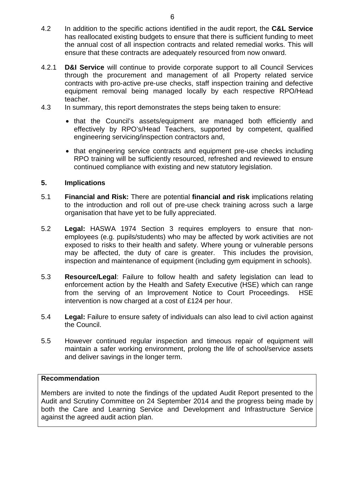- 4.2 In addition to the specific actions identified in the audit report, the **C&L Service** has reallocated existing budgets to ensure that there is sufficient funding to meet the annual cost of all inspection contracts and related remedial works. This will ensure that these contracts are adequately resourced from now onward.
- 4.2.1 **D&I Service** will continue to provide corporate support to all Council Services through the procurement and management of all Property related service contracts with pro-active pre-use checks, staff inspection training and defective equipment removal being managed locally by each respective RPO/Head teacher.
- 4.3 In summary, this report demonstrates the steps being taken to ensure:
	- that the Council's assets/equipment are managed both efficiently and effectively by RPO's/Head Teachers, supported by competent, qualified engineering servicing/inspection contractors and,
	- that engineering service contracts and equipment pre-use checks including RPO training will be sufficiently resourced, refreshed and reviewed to ensure continued compliance with existing and new statutory legislation.

# **5. Implications**

- 5.1 **Financial and Risk:** There are potential **financial and risk** implications relating to the introduction and roll out of pre-use check training across such a large organisation that have yet to be fully appreciated.
- 5.2 **Legal:** HASWA 1974 Section 3 requires employers to ensure that nonemployees (e.g. pupils/students) who may be affected by work activities are not exposed to risks to their health and safety. Where young or vulnerable persons may be affected, the duty of care is greater. This includes the provision, inspection and maintenance of equipment (including gym equipment in schools).
- 5.3 **Resource/Legal**: Failure to follow health and safety legislation can lead to enforcement action by the Health and Safety Executive (HSE) which can range from the serving of an Improvement Notice to Court Proceedings. HSE intervention is now charged at a cost of £124 per hour.
- 5.4 **Legal:** Failure to ensure safety of individuals can also lead to civil action against the Council.
- 5.5 However continued regular inspection and timeous repair of equipment will maintain a safer working environment, prolong the life of school/service assets and deliver savings in the longer term.

# **Recommendation**

Members are invited to note the findings of the updated Audit Report presented to the Audit and Scrutiny Committee on 24 September 2014 and the progress being made by both the Care and Learning Service and Development and Infrastructure Service against the agreed audit action plan.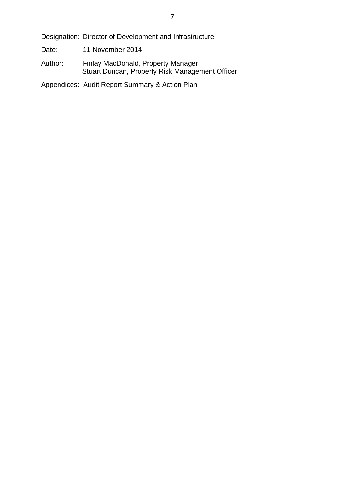Designation: Director of Development and Infrastructure

- Date: 11 November 2014
- Author: Finlay MacDonald, Property Manager Stuart Duncan, Property Risk Management Officer

Appendices: Audit Report Summary & Action Plan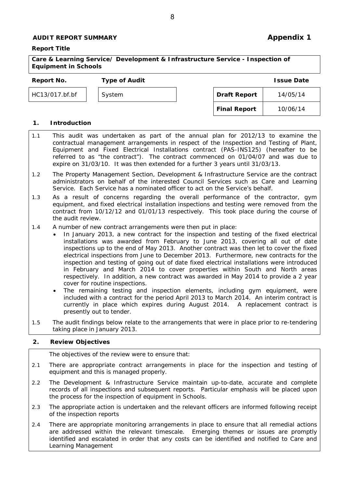## **AUDIT REPORT SUMMARY AUDIT REPORT SUMMARY**

#### **Report Title**

#### **Care & Learning Service/ Development & Infrastructure Service - Inspection of Equipment in Schools**

8

## **Report No. Type of Audit Issue Date**

HC13/017.bf.bf | System

| <b>Draft Report</b> | 14/05/14 |
|---------------------|----------|
| <b>Final Report</b> | 10/06/14 |

#### **1. Introduction**

- 1.1 This audit was undertaken as part of the annual plan for 2012/13 to examine the contractual management arrangements in respect of the Inspection and Testing of Plant, Equipment and Fixed Electrical Installations contract (PAS-INS125) (hereafter to be referred to as "the contract"). The contract commenced on 01/04/07 and was due to expire on 31/03/10. It was then extended for a further 3 years until 31/03/13.
- 1.2 The Property Management Section, Development & Infrastructure Service are the contract administrators on behalf of the interested Council Services such as Care and Learning Service. Each Service has a nominated officer to act on the Service's behalf.
- 1.3 As a result of concerns regarding the overall performance of the contractor, gym equipment, and fixed electrical installation inspections and testing were removed from the contract from 10/12/12 and 01/01/13 respectively. This took place during the course of the audit review.
- 1.4 A number of new contract arrangements were then put in place:
	- In January 2013, a new contract for the inspection and testing of the fixed electrical installations was awarded from February to June 2013, covering all out of date inspections up to the end of May 2013. Another contract was then let to cover the fixed electrical inspections from June to December 2013. Furthermore, new contracts for the inspection and testing of going out of date fixed electrical installations were introduced in February and March 2014 to cover properties within South and North areas respectively. In addition, a new contract was awarded in May 2014 to provide a 2 year cover for routine inspections.
	- The remaining testing and inspection elements, including gym equipment, were included with a contract for the period April 2013 to March 2014. An interim contract is currently in place which expires during August 2014. A replacement contract is presently out to tender.
- 1.5 The audit findings below relate to the arrangements that were in place prior to re-tendering taking place in January 2013.

#### **2. Review Objectives**

The objectives of the review were to ensure that:

- 2.1 There are appropriate contract arrangements in place for the inspection and testing of equipment and this is managed properly.
- 2.2 The Development & Infrastructure Service maintain up-to-date, accurate and complete records of all inspections and subsequent reports. Particular emphasis will be placed upon the process for the inspection of equipment in Schools.
- 2.3 The appropriate action is undertaken and the relevant officers are informed following receipt of the inspection reports
- 2.4 There are appropriate monitoring arrangements in place to ensure that all remedial actions are addressed within the relevant timescale. Emerging themes or issues are promptly identified and escalated in order that any costs can be identified and notified to Care and Learning Management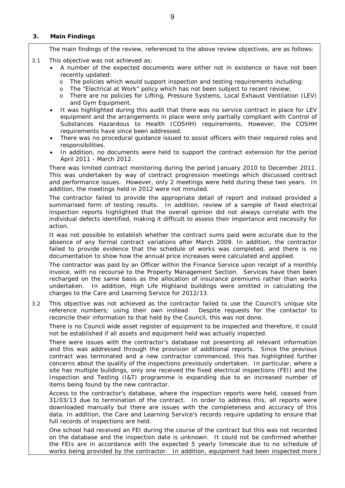#### **3. Main Findings**

The main findings of the review, referenced to the above review objectives, are as follows:

- 3.1 This objective was not achieved as:
	- A number of the expected documents were either not in existence or have not been recently updated:
		- o The policies which would support inspection and testing requirements including:
		- o The "Electrical at Work" policy which has not been subject to recent review;<br>o There are no policies for Lifting Pressure Systems Local Exhaust Ventilation
		- There are no policies for Lifting, Pressure Systems, Local Exhaust Ventilation (LEV) and Gym Equipment.
	- It was highlighted during this audit that there was no service contract in place for LEV equipment and the arrangements in place were only partially compliant with Control of Substances Hazardous to Health (COSHH) requirements. However, the COSHH requirements have since been addressed.
	- There was no procedural guidance issued to assist officers with their required roles and responsibilities.
	- In addition, no documents were held to support the contract extension for the period April 2011 - March 2012.

There was limited contract monitoring during the period January 2010 to December 2011. This was undertaken by way of contract progression meetings which discussed contract and performance issues. However, only 2 meetings were held during these two years. In addition, the meetings held in 2012 were not minuted.

The contractor failed to provide the appropriate detail of report and instead provided a summarised form of testing results. In addition, review of a sample of fixed electrical inspection reports highlighted that the overall opinion did not always correlate with the individual defects identified, making it difficult to assess their importance and necessity for action.

It was not possible to establish whether the contract sums paid were accurate due to the absence of any formal contract variations after March 2009. In addition, the contractor failed to provide evidence that the schedule of works was completed, and there is no documentation to show how the annual price increases were calculated and applied.

The contractor was paid by an Officer within the Finance Service upon receipt of a monthly invoice, with no recourse to the Property Management Section. Services have then been recharged on the same basis as the allocation of insurance premiums rather than works undertaken. In addition, High Life Highland buildings were omitted in calculating the charges to the Care and Learning Service for 2012/13.

3.2 This objective was not achieved as the contractor failed to use the Council's unique site reference numbers; using their own instead. Despite requests for the contactor to reconcile their information to that held by the Council, this was not done.

There is no Council wide asset register of equipment to be inspected and therefore, it could not be established if all assets and equipment held was actually inspected.

There were issues with the contractor's database not presenting all relevant information and this was addressed through the provision of additional reports. Since the previous contract was terminated and a new contractor commenced, this has highlighted further concerns about the quality of the inspections previously undertaken. In particular, where a site has multiple buildings, only one received the fixed electrical inspections (FEI) and the Inspection and Testing (I&T) programme is expanding due to an increased number of items being found by the new contractor.

Access to the contractor's database, where the inspection reports were held, ceased from 31/03/13 due to termination of the contract. In order to address this, all reports were downloaded manually but there are issues with the completeness and accuracy of this data. In addition, the Care and Learning Service's records require updating to ensure that full records of inspections are held.

One school had received an FEI during the course of the contract but this was not recorded on the database and the inspection date is unknown. It could not be confirmed whether the FEIs are in accordance with the expected 5 yearly timescale due to no schedule of works being provided by the contractor. In addition, equipment had been inspected more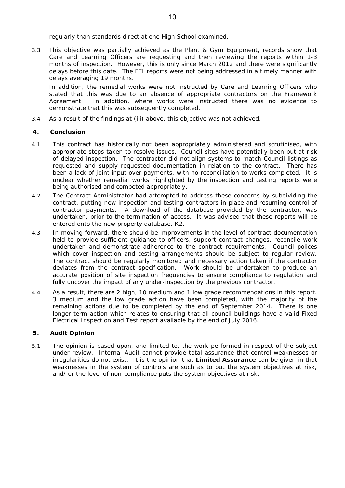regularly than standards direct at one High School examined.

3.3 This objective was partially achieved as the Plant & Gym Equipment, records show that Care and Learning Officers are requesting and then reviewing the reports within 1-3 months of inspection. However, this is only since March 2012 and there were significantly delays before this date. The FEI reports were not being addressed in a timely manner with delays averaging 19 months.

In addition, the remedial works were not instructed by Care and Learning Officers who stated that this was due to an absence of appropriate contractors on the Framework Agreement. In addition, where works were instructed there was no evidence to demonstrate that this was subsequently completed.

3.4 As a result of the findings at (iii) above, this objective was not achieved.

## **4. Conclusion**

- 4.1 This contract has historically not been appropriately administered and scrutinised, with appropriate steps taken to resolve issues. Council sites have potentially been put at risk of delayed inspection. The contractor did not align systems to match Council listings as requested and supply requested documentation in relation to the contract. There has been a lack of joint input over payments, with no reconciliation to works completed. It is unclear whether remedial works highlighted by the inspection and testing reports were being authorised and competed appropriately.
- 4.2 The Contract Administrator had attempted to address these concerns by subdividing the contract, putting new inspection and testing contractors in place and resuming control of contractor payments. A download of the database provided by the contractor, was undertaken, prior to the termination of access. It was advised that these reports will be entered onto the new property database, K2.
- 4.3 In moving forward, there should be improvements in the level of contract documentation held to provide sufficient guidance to officers, support contract changes, reconcile work undertaken and demonstrate adherence to the contract requirements. Council polices which cover inspection and testing arrangements should be subject to regular review. The contract should be regularly monitored and necessary action taken if the contractor deviates from the contract specification. Work should be undertaken to produce an accurate position of site inspection frequencies to ensure compliance to regulation and fully uncover the impact of any under-inspection by the previous contractor.
- 4.4 As a result, there are 2 high, 10 medium and 1 low grade recommendations in this report. 3 medium and the low grade action have been completed, with the majority of the remaining actions due to be completed by the end of September 2014. There is one longer term action which relates to ensuring that all council buildings have a valid Fixed Electrical Inspection and Test report available by the end of July 2016.

## **5. Audit Opinion**

5.1 The opinion is based upon, and limited to, the work performed in respect of the subject under review. Internal Audit cannot provide total assurance that control weaknesses or irregularities do not exist. It is the opinion that **Limited Assurance** can be given in that weaknesses in the system of controls are such as to put the system objectives at risk, and/ or the level of non-compliance puts the system objectives at risk.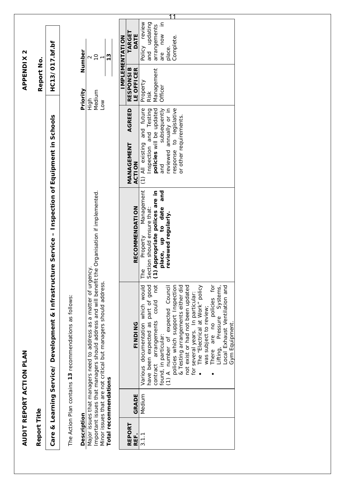|                    |                       |                                                                                                                                                                                                                                                                                                                                                                                                                                                                                                                       |                                                                                                                                             |                                                                                                                                                                                             | <b>APPENDIX2</b>                                 |                                                                                                |
|--------------------|-----------------------|-----------------------------------------------------------------------------------------------------------------------------------------------------------------------------------------------------------------------------------------------------------------------------------------------------------------------------------------------------------------------------------------------------------------------------------------------------------------------------------------------------------------------|---------------------------------------------------------------------------------------------------------------------------------------------|---------------------------------------------------------------------------------------------------------------------------------------------------------------------------------------------|--------------------------------------------------|------------------------------------------------------------------------------------------------|
| Report Title       |                       |                                                                                                                                                                                                                                                                                                                                                                                                                                                                                                                       |                                                                                                                                             |                                                                                                                                                                                             | Report No.                                       |                                                                                                |
|                    |                       | Care & Learning Service/ Development & Infrastructure Service - Inspection of Equipment in Schools                                                                                                                                                                                                                                                                                                                                                                                                                    |                                                                                                                                             |                                                                                                                                                                                             | HC13/017.bf.bf                                   |                                                                                                |
|                    |                       | The Action Plan contains 13 recommendations as follows:                                                                                                                                                                                                                                                                                                                                                                                                                                                               |                                                                                                                                             |                                                                                                                                                                                             |                                                  |                                                                                                |
| <b>Description</b> |                       |                                                                                                                                                                                                                                                                                                                                                                                                                                                                                                                       |                                                                                                                                             |                                                                                                                                                                                             | Priority                                         | Number                                                                                         |
|                    | Total recommendations | Important issues that managers should address and will benefit the Organisation if implemented.<br>Major issues that managers need to address as a matter of urgency<br>Minor issues that are not critical but managers should address.                                                                                                                                                                                                                                                                               |                                                                                                                                             | High<br>Low                                                                                                                                                                                 | Medium                                           | $\overline{C}$<br>$\frac{3}{2}$<br>$\mathbf{\Omega}$                                           |
|                    |                       |                                                                                                                                                                                                                                                                                                                                                                                                                                                                                                                       |                                                                                                                                             |                                                                                                                                                                                             |                                                  |                                                                                                |
| REPORT<br>REF.     | <b>GRADE</b>          | FINDING                                                                                                                                                                                                                                                                                                                                                                                                                                                                                                               | <b>RECOMMENDATION</b>                                                                                                                       | AGREED<br>MANAGEMENT<br>ACTION                                                                                                                                                              | <b>RESPONSIB</b><br>LE OFFICER                   | <b>TARGE</b><br>DATE<br><b>IMPLEMENTATION</b>                                                  |
| 3.1.1              | Medium                | have been expected as part of good<br>not<br>Various documentation which would<br>The "Electrical at Work" policy<br>policies which support Inspection<br>There are no policies for<br>& Testing arrangements either did<br>not exist or had not been updated<br>Local Exhaust Ventilation and<br>(1) A number of expected Council<br>Pressure Systems,<br>for several years. In particular:<br>could<br>was subject to review;<br>contract arrangements<br><b>Gym Equipment</b><br>found, in particular:<br>Lifting, | The Property Management<br>Section should ensure that:<br>(1) Appropriate polices are in<br>and<br>place, up to date<br>reviewed regularly. | response to legislative<br>(1) All existing and future<br>subsequently<br>reviewed annually or in<br>and Testing<br>policies will be updated<br>or other requirements.<br>Inspection<br>and | Management<br>Property<br>Officer<br><b>Risk</b> | $\equiv$<br>Policy review<br>updating<br>arrangements<br>are now<br>Complete.<br>place.<br>and |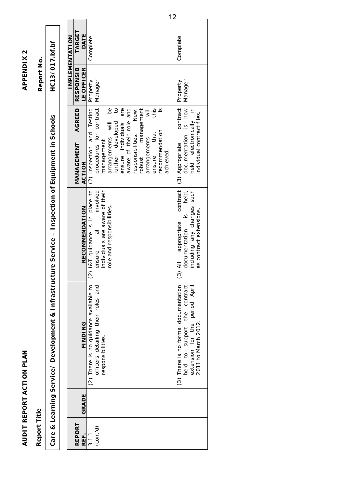| TARGET<br><b>DATE</b><br><b>IMPLEMENTATION</b><br>Complete<br>Complete<br>HC13/017.bf.bf<br>Report No.<br><b>RESPONSIB</b><br>LE OFFICER<br>Manager<br>Property<br>Manager<br>Property<br>held electronically in<br>contract<br>$\overline{c}$<br>are<br>New,<br>this<br>contract<br>is now<br>$\mathbf{e}$<br>and<br>management<br>$\overline{\mathbf{v}}$<br>$\overline{6}$<br>AGREED<br>Testing<br>individual contract files.<br>Inspection of Equipment in Schools<br>aware of their role<br>developed<br>$\frac{1}{2}$<br>ensure individuals<br>recommendation<br>that<br>and<br>procedures for<br>responsibilities.<br>documentation<br>arrangements<br>arrangements<br>management<br>(3) Appropriate<br>MANAGEMENT<br>(2) Inspection<br>achieved.<br>further<br>ensure<br>robust<br>ACTION<br>contract<br>individuals are aware of their<br>I&T guidance is in place to<br>involved<br>such<br>held,<br>role and responsibilities.<br>including any changes<br><b>RECOMMENDATION</b><br>as contract extensions.<br>$\frac{0}{2}$<br>appropriate<br>$\overline{\overline{6}}$<br>documentation<br>$\pmb{\mathsf{I}}$<br>Care & Learning Service/ Development & Infrastructure Service<br>ensure<br>$\overline{4}$<br>$\widetilde{\mathcal{G}}$<br>$\tilde{\omega}$<br>officers detailing their roles and<br>(3) There is no formal documentation<br>period April<br>There is no guidance available to<br>contract<br>the<br>2011 to March 2012<br>FINDING<br>extension for the<br>support<br>responsibilities.<br>$\overline{c}$<br>held<br>$\widehat{c}$<br>GRADE<br>Report Title<br>REPORT<br>$3.1.1$<br>(cont'd)<br>REF. |  |  |  |
|-----------------------------------------------------------------------------------------------------------------------------------------------------------------------------------------------------------------------------------------------------------------------------------------------------------------------------------------------------------------------------------------------------------------------------------------------------------------------------------------------------------------------------------------------------------------------------------------------------------------------------------------------------------------------------------------------------------------------------------------------------------------------------------------------------------------------------------------------------------------------------------------------------------------------------------------------------------------------------------------------------------------------------------------------------------------------------------------------------------------------------------------------------------------------------------------------------------------------------------------------------------------------------------------------------------------------------------------------------------------------------------------------------------------------------------------------------------------------------------------------------------------------------------------------------------------------------------------------------------------------------------|--|--|--|
|                                                                                                                                                                                                                                                                                                                                                                                                                                                                                                                                                                                                                                                                                                                                                                                                                                                                                                                                                                                                                                                                                                                                                                                                                                                                                                                                                                                                                                                                                                                                                                                                                                   |  |  |  |
|                                                                                                                                                                                                                                                                                                                                                                                                                                                                                                                                                                                                                                                                                                                                                                                                                                                                                                                                                                                                                                                                                                                                                                                                                                                                                                                                                                                                                                                                                                                                                                                                                                   |  |  |  |
|                                                                                                                                                                                                                                                                                                                                                                                                                                                                                                                                                                                                                                                                                                                                                                                                                                                                                                                                                                                                                                                                                                                                                                                                                                                                                                                                                                                                                                                                                                                                                                                                                                   |  |  |  |
|                                                                                                                                                                                                                                                                                                                                                                                                                                                                                                                                                                                                                                                                                                                                                                                                                                                                                                                                                                                                                                                                                                                                                                                                                                                                                                                                                                                                                                                                                                                                                                                                                                   |  |  |  |
|                                                                                                                                                                                                                                                                                                                                                                                                                                                                                                                                                                                                                                                                                                                                                                                                                                                                                                                                                                                                                                                                                                                                                                                                                                                                                                                                                                                                                                                                                                                                                                                                                                   |  |  |  |
|                                                                                                                                                                                                                                                                                                                                                                                                                                                                                                                                                                                                                                                                                                                                                                                                                                                                                                                                                                                                                                                                                                                                                                                                                                                                                                                                                                                                                                                                                                                                                                                                                                   |  |  |  |
|                                                                                                                                                                                                                                                                                                                                                                                                                                                                                                                                                                                                                                                                                                                                                                                                                                                                                                                                                                                                                                                                                                                                                                                                                                                                                                                                                                                                                                                                                                                                                                                                                                   |  |  |  |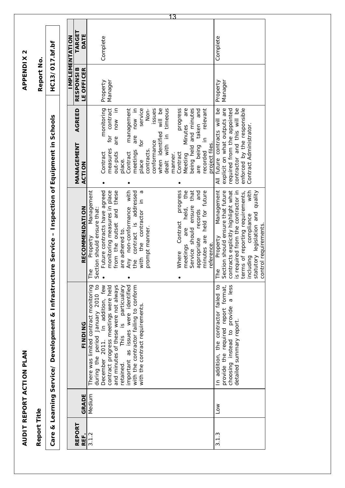| Report Title   |           |                                                                                                                                                                                                                                                                                                                                                        |                                                                                                                                                                                                                                                                                                                                                                                                                                                                                 |                                                                                                                                                                                                                                                                                                                                                                                                                                                              | Report No.                     |                       |
|----------------|-----------|--------------------------------------------------------------------------------------------------------------------------------------------------------------------------------------------------------------------------------------------------------------------------------------------------------------------------------------------------------|---------------------------------------------------------------------------------------------------------------------------------------------------------------------------------------------------------------------------------------------------------------------------------------------------------------------------------------------------------------------------------------------------------------------------------------------------------------------------------|--------------------------------------------------------------------------------------------------------------------------------------------------------------------------------------------------------------------------------------------------------------------------------------------------------------------------------------------------------------------------------------------------------------------------------------------------------------|--------------------------------|-----------------------|
|                |           | Care & Learning Service/ Development & Infrastructure Service - Inspection of Equipment in Schools                                                                                                                                                                                                                                                     |                                                                                                                                                                                                                                                                                                                                                                                                                                                                                 |                                                                                                                                                                                                                                                                                                                                                                                                                                                              | HC13/017.bf.bf                 |                       |
|                |           |                                                                                                                                                                                                                                                                                                                                                        |                                                                                                                                                                                                                                                                                                                                                                                                                                                                                 |                                                                                                                                                                                                                                                                                                                                                                                                                                                              |                                |                       |
|                |           |                                                                                                                                                                                                                                                                                                                                                        |                                                                                                                                                                                                                                                                                                                                                                                                                                                                                 |                                                                                                                                                                                                                                                                                                                                                                                                                                                              | <b>IMPLEMENTATION</b>          |                       |
| REPORT<br>REF. | GRADE     | <b>FINDING</b>                                                                                                                                                                                                                                                                                                                                         | <b>RECOMMENDATION</b>                                                                                                                                                                                                                                                                                                                                                                                                                                                           | AGREED<br>MANAGEMENT<br>ACTION                                                                                                                                                                                                                                                                                                                                                                                                                               | LE OFFICER<br><b>RESPONSIB</b> | <b>TARGE1</b><br>DATE |
| 3.1.2          | Medium    | during the period January 2010 to<br>and minutes of these were not always<br>December 2011. In addition, few<br>This is particualary<br>important as issues were identified<br>with the contractor failing to conform<br>There was limited contract monitoring<br>contract progress meetings were held<br>with the contract requirements.<br>retained. | Future contracts have agreed<br>Any non-conformance with<br>progress<br>the<br>monitoring measures in place<br>from the outset and these<br>contract is addressed<br>$\sigma$<br>Service should ensure that<br>and<br>Management<br>minutes are held for future<br>with the contractor in<br>held,<br>Section should ensure that:<br>records<br>Contract<br>prompt manner.<br>are<br>are adhered to.<br>appropriate<br>Property<br>meetings<br>reference<br>Where<br>the<br>The | for contract<br>monitoring<br>now in<br>now in<br>service<br>will be<br>are<br>management<br>Non-<br>issues<br>dealt with in timeous<br>progress<br>being held and minutes<br>taken and<br>in relevant<br><b>Minutes</b><br>when identified<br>are<br>are<br>for<br>conformance<br>project files.<br>being<br>measures<br>contracts.<br>meetings<br>recorded<br>Contract<br>out-puts<br>Contract<br>Contract<br>manner.<br>Meeting<br>place.<br>place<br>are | Manager<br>Property            | 13<br>Complete        |
| 3.1.3          | <b>NO</b> | a less<br>In addition, the contractor failed to<br>provide the required report format,<br>choosing instead to provide<br>detailed summary report                                                                                                                                                                                                       | required from the contractor in<br>terms of reporting requirements,<br>with<br>Management<br>Section should ensure that future<br>contracts explicitly highlight what<br>statutory legislation and quality<br>compliance<br>control requirements<br>Property<br>including<br>The<br>$\underline{\underline{\omega}}$                                                                                                                                                            | explicit on what outputs are<br>contractor and this will be<br>All future contracts will be<br>required from the appointed<br>enforced by the responsible<br>Contract Administrator.                                                                                                                                                                                                                                                                         | Manager<br>Property            | Complete              |

APPENDIX 2

**AUDIT REPORT ACTION PLAN APPENDIX 2** AUDIT REPORT ACTION PLAN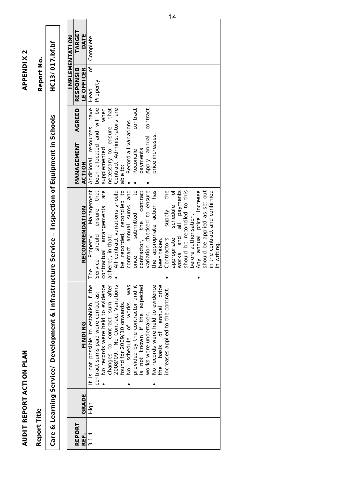| Report Title  |                                                                                                    |                                               |                             | Report No.       |                |
|---------------|----------------------------------------------------------------------------------------------------|-----------------------------------------------|-----------------------------|------------------|----------------|
|               | Care & Learning Service/ Development & Infrastructure Service - Inspection of Equipment in Schools |                                               |                             | HC13/017.bf.bf   |                |
|               |                                                                                                    |                                               |                             |                  |                |
|               |                                                                                                    |                                               |                             |                  | IMPLEMENTATION |
| REPORT        |                                                                                                    |                                               | <b>AGREED</b><br>MANAGEMENT | <b>RESPONSIB</b> | TARGET         |
| GRADE<br>REF. | <b>FINDING</b>                                                                                     | <b>RECOMMENDATION</b>                         | ACTION                      | LE OFFICER       | DATE           |
| High<br>3.1.4 | It is not possible to establish if the                                                             | Management<br>Property<br>The                 | Additional resources have   | უ<br>ნ<br>Head   | Complete       |
|               | contract sums paid were correct as:                                                                | that<br>ensure<br>Service should              | been allocated and will be  | Property         |                |
|               | No records were held to evidence                                                                   | contractual arrangements are                  | when<br>supplemented        |                  |                |
|               | changes to contract sum after<br>2008/09. No Contract Variations                                   | adhered, in that:                             | necessary to ensure that    |                  |                |
|               |                                                                                                    | All contract variations should                | Contract Administrators are |                  |                |
|               | found for 2009/10 onwards.                                                                         | be recorded, reconciled to                    | able to:                    |                  |                |
|               | schedule of works<br>o<br>S                                                                        | contract annual sums and<br>was               | Record all variations       |                  |                |
|               | provided by the contractor and it                                                                  | once submitted to<br>contractor, the contract | contract<br>Reconcile       |                  |                |
|               | is not known if the expected                                                                       | contract                                      | payments                    |                  |                |
|               | works were undertaken.                                                                             | variation checked to ensure                   | contract<br>Apply annual    |                  |                |
|               | No records were held to evidence                                                                   | the appropriate action has                    | price increases             |                  |                |
|               | the basis of annual price                                                                          | been taken.                                   |                             |                  |                |
|               | increases applied to the contract.                                                                 | the<br>supply<br>schedule<br>Contractors      |                             |                  |                |
|               |                                                                                                    | ð<br>appropriate                              |                             |                  |                |
|               |                                                                                                    | works and all payments                        |                             |                  |                |
|               |                                                                                                    | should be reconciled to this                  |                             |                  |                |
|               |                                                                                                    | before authorisation.                         |                             |                  |                |
|               |                                                                                                    | Any annual price increase                     |                             |                  |                |
|               |                                                                                                    | should be applied as set out                  |                             |                  |                |
|               |                                                                                                    | in the contract and confirmed                 |                             |                  |                |
|               |                                                                                                    | in writing                                    |                             |                  |                |
|               |                                                                                                    |                                               |                             |                  |                |
|               |                                                                                                    |                                               |                             |                  |                |

14

**AUDIT REPORT ACTION PLAN APPENDIX 2**

AUDIT REPORT ACTION PLAN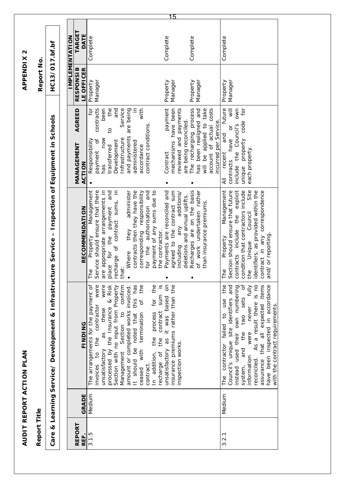| unsatisfactory<br>contract<br>GRADE<br>Medium<br><b>REPORT</b><br>3.1.5<br>REF. |                                                                                                                                                                                                                                                                                                                                                                                                                                                                                                                                           | Care & Learning Service/ Development & Infrastructure Service - Inspection of Equipment in Schools                                                                                                                                                                                                                                                                                                                                                                                            |                                                                                                                                                                                                                                                                                                                                                                          |                                            |                       |    |
|---------------------------------------------------------------------------------|-------------------------------------------------------------------------------------------------------------------------------------------------------------------------------------------------------------------------------------------------------------------------------------------------------------------------------------------------------------------------------------------------------------------------------------------------------------------------------------------------------------------------------------------|-----------------------------------------------------------------------------------------------------------------------------------------------------------------------------------------------------------------------------------------------------------------------------------------------------------------------------------------------------------------------------------------------------------------------------------------------------------------------------------------------|--------------------------------------------------------------------------------------------------------------------------------------------------------------------------------------------------------------------------------------------------------------------------------------------------------------------------------------------------------------------------|--------------------------------------------|-----------------------|----|
|                                                                                 |                                                                                                                                                                                                                                                                                                                                                                                                                                                                                                                                           |                                                                                                                                                                                                                                                                                                                                                                                                                                                                                               |                                                                                                                                                                                                                                                                                                                                                                          |                                            | HC13/017.bf.bf        |    |
|                                                                                 |                                                                                                                                                                                                                                                                                                                                                                                                                                                                                                                                           |                                                                                                                                                                                                                                                                                                                                                                                                                                                                                               |                                                                                                                                                                                                                                                                                                                                                                          |                                            | <b>IMPLEMENTATION</b> |    |
|                                                                                 |                                                                                                                                                                                                                                                                                                                                                                                                                                                                                                                                           |                                                                                                                                                                                                                                                                                                                                                                                                                                                                                               | AGREED<br>MANAGEMENT                                                                                                                                                                                                                                                                                                                                                     | <b>RESPONSIB</b>                           | <b>TARGET</b>         |    |
|                                                                                 | FINDING                                                                                                                                                                                                                                                                                                                                                                                                                                                                                                                                   | <b>RECOMMENDATION</b>                                                                                                                                                                                                                                                                                                                                                                                                                                                                         | <b>ACTION</b>                                                                                                                                                                                                                                                                                                                                                            | LE OFFICER                                 | DATE                  |    |
| recharge of                                                                     | $\overline{5}$<br>process for the<br>$\frac{1}{2}$<br>The arrangements for the payment of<br>were<br>were<br>this has<br>the<br>insurance premiums rather than the<br>confirm<br>$\&$ Risk<br>Section with no input from Property<br>amount or completed works invoiced.<br>sum<br>unsatisfactory as it was based<br>ð<br>invoices to the contractor<br>processed by the Insurance<br>as these<br>contract<br>Management Section to<br>ceased with termination<br>It should be noted that<br>In addition, the<br>the<br>inspection works. | recharge of contract sums, in<br>are appropriate arrangements in<br>and<br>contracts then they have the<br>Payments are reconciled and<br>Management<br>administer<br>corresponding responsibility<br>for the authorisation and<br>payment of any sums due to<br>agreed to the contract sum<br>Service should ensure that there<br>including any additions/<br>deletions and annual uplifts.<br>place for the payment<br>they<br>the contractor.<br>Property<br>Where<br>that:<br>$\Phi$<br>Ě | $\equiv$<br>with<br>for<br>contracts<br>the<br>and<br>Service<br>are being<br>payment<br>been<br>mechanisms have been<br>reviewed and payments<br>are being reconciled.<br>contract conditions<br>$\overline{c}$<br>and payments<br>Infrastructure<br>NOW<br>Responsibility<br>payment of<br>Development<br>administered<br>accordance<br>transferred<br>Contract<br>has | Manager<br>Property<br>Manager<br>Property | Complete<br>Complete  | 15 |
|                                                                                 |                                                                                                                                                                                                                                                                                                                                                                                                                                                                                                                                           | Recharges are on the basis<br>of work undertaken rather<br>than insurance premiums.                                                                                                                                                                                                                                                                                                                                                                                                           | The recharging process<br>account of actual costs<br>will be applied to take<br>has been realigned and<br>incurred per Service.                                                                                                                                                                                                                                          | Property<br>Manager                        | Complete              |    |
| information<br>reconciled.<br>system,<br>Medium<br>3.2.1                        | As a result there is no<br>assurance that all expected items<br>have been inspected in accordance<br>The contractor failed to use the<br>ð<br>never fully<br>Council's unique site identifiers and<br>instead used their own numbering<br>two sets<br>with the contract requirements.<br>the<br>were<br>and                                                                                                                                                                                                                               | Management<br>contracts include the explicit<br>condition that contractors include<br>the Unique Council Site<br>Section should ensure that future<br>identifiers, as provided within the<br>contract in any correspondence<br>and/ or reporting<br>Property<br>The                                                                                                                                                                                                                           | future<br>own<br>unique property code for<br>include the Council's<br>contracts have or<br>and<br>each property.<br>recent<br>$\overline{4}$                                                                                                                                                                                                                             | Manager<br>Property                        | Complete              |    |

AUDIT REPORT ACTION PLAN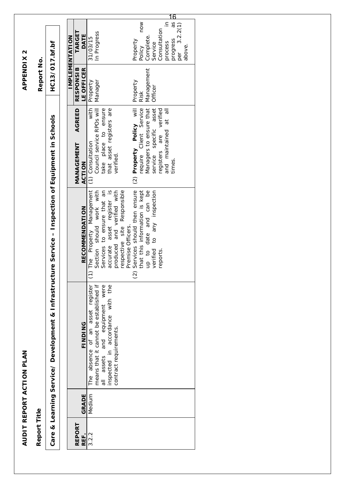| Report Title          |        |                                                                                                    |                                                          |                                                                                                                | Report No.                     |                                           |
|-----------------------|--------|----------------------------------------------------------------------------------------------------|----------------------------------------------------------|----------------------------------------------------------------------------------------------------------------|--------------------------------|-------------------------------------------|
|                       |        | Care & Learning Service/ Development & Infrastructure Service - Inspection of Equipment in Schools |                                                          |                                                                                                                | HC13/017.bf.bf                 |                                           |
|                       |        |                                                                                                    |                                                          |                                                                                                                |                                |                                           |
|                       |        |                                                                                                    |                                                          |                                                                                                                |                                | IMPLEMENTATION                            |
| <b>REPORT</b><br>REF. | GRADE  | <b>FINDING</b>                                                                                     | <b>RECOMMENDATION</b>                                    | <b>AGREED</b><br>MANAGEMENT<br><b>ACTION</b>                                                                   | <b>RESPONSIB</b><br>LE OFFICER | <b>TARGET</b><br>DATE                     |
| 3.2.2                 | Medium | asset register<br>absence of an<br>The                                                             | ) The Property Management                                | with<br>(1) Consultation                                                                                       | Property                       | 31/03/15                                  |
|                       |        | means that it cannot be established if                                                             | Section should work with                                 | Council service RPOs will                                                                                      | Manager                        | In Progress                               |
|                       |        | all assets and equipment were                                                                      | Services to ensure that an                               | take place to ensure                                                                                           |                                |                                           |
|                       |        | inspected in accordance with the                                                                   | accurate asset register is<br>produced and verified with | that asset registers are                                                                                       |                                |                                           |
|                       |        | contract requirements.                                                                             |                                                          | verified.                                                                                                      |                                |                                           |
|                       |        |                                                                                                    | respective site Responsible                              |                                                                                                                |                                |                                           |
|                       |        |                                                                                                    | Premise Officers.                                        |                                                                                                                |                                |                                           |
|                       |        |                                                                                                    | Services should then ensure<br>$\widehat{c}$             | (2) <b>Property Policy</b> will<br>require Client Service<br>Managers to ensure that<br>service specific asset | Property                       | Property                                  |
|                       |        |                                                                                                    | that this information is kept                            |                                                                                                                | Risk                           | NOV<br>Policy                             |
|                       |        |                                                                                                    | up to date and can be                                    |                                                                                                                | Management                     | Complete.                                 |
|                       |        |                                                                                                    | verified to any inspection                               |                                                                                                                | Officer                        | Service                                   |
|                       |        |                                                                                                    | reports.                                                 | registers are verified                                                                                         |                                | Consultation                              |
|                       |        |                                                                                                    |                                                          | and maintained at all                                                                                          |                                | $\subseteq$<br>process                    |
|                       |        |                                                                                                    |                                                          | times.                                                                                                         |                                | <u> 16</u><br>progress as<br>per 3.2.2(1) |
|                       |        |                                                                                                    |                                                          |                                                                                                                |                                |                                           |
|                       |        |                                                                                                    |                                                          |                                                                                                                |                                | above.                                    |
|                       |        |                                                                                                    |                                                          |                                                                                                                |                                |                                           |
|                       |        |                                                                                                    |                                                          |                                                                                                                |                                |                                           |

AUDIT REPORT ACTION PLAN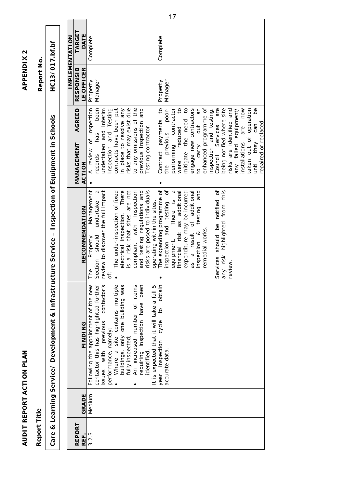| Report Title   |        |                                                                                                                                                                                                                                                                                                                                                                                                                               |                                                                                                                                                                                                                                                                                                                                                                                                                                                                                                                                                                                                                                                                |                                                                                                                                                                                                                                                                                                                                                                                                                                                                                                                                                                                                                                                                                | Report No.                                 |                       |
|----------------|--------|-------------------------------------------------------------------------------------------------------------------------------------------------------------------------------------------------------------------------------------------------------------------------------------------------------------------------------------------------------------------------------------------------------------------------------|----------------------------------------------------------------------------------------------------------------------------------------------------------------------------------------------------------------------------------------------------------------------------------------------------------------------------------------------------------------------------------------------------------------------------------------------------------------------------------------------------------------------------------------------------------------------------------------------------------------------------------------------------------------|--------------------------------------------------------------------------------------------------------------------------------------------------------------------------------------------------------------------------------------------------------------------------------------------------------------------------------------------------------------------------------------------------------------------------------------------------------------------------------------------------------------------------------------------------------------------------------------------------------------------------------------------------------------------------------|--------------------------------------------|-----------------------|
|                |        | Care & Learning Service/ Development & Infrastructure Service - Inspection of Equipment in Schools                                                                                                                                                                                                                                                                                                                            |                                                                                                                                                                                                                                                                                                                                                                                                                                                                                                                                                                                                                                                                |                                                                                                                                                                                                                                                                                                                                                                                                                                                                                                                                                                                                                                                                                | HC13/017.bf.bf                             |                       |
|                |        |                                                                                                                                                                                                                                                                                                                                                                                                                               |                                                                                                                                                                                                                                                                                                                                                                                                                                                                                                                                                                                                                                                                |                                                                                                                                                                                                                                                                                                                                                                                                                                                                                                                                                                                                                                                                                |                                            |                       |
|                |        |                                                                                                                                                                                                                                                                                                                                                                                                                               |                                                                                                                                                                                                                                                                                                                                                                                                                                                                                                                                                                                                                                                                |                                                                                                                                                                                                                                                                                                                                                                                                                                                                                                                                                                                                                                                                                |                                            | <b>IMPLEMENTATION</b> |
| REPORT<br>REF. | GRADE  | FINDING                                                                                                                                                                                                                                                                                                                                                                                                                       | <b>RECOMMENDATION</b>                                                                                                                                                                                                                                                                                                                                                                                                                                                                                                                                                                                                                                          | <b>AGREED</b><br>MANAGEMENT<br><b>ACTION</b>                                                                                                                                                                                                                                                                                                                                                                                                                                                                                                                                                                                                                                   | <b>RESPONSIB</b><br>LE OFFICER             | TARGET<br>DATE        |
| 3.2.3          | Medium | contactor's<br>Where a site contains multiple<br>buildings, only one building was<br>requiring inspection have been<br>cycle to obtain<br>Following the appointment of the new<br>An increased number of items<br>contactor this has highlighted further<br>It is expected that it will take a full 5<br>issues with previous<br>performance, namely:<br>fully inspected;<br>year inspection<br>accurate data.<br>identified. | The expanding programme of<br>inspection and testing of<br>review to discover the full impact<br>Management<br>Services should be notified of<br>is a risk that sites are not<br>risks are posed to individuals<br>There is a<br>undertake a<br>electrical inspection. There<br>compliant with Inspection<br>financial risk as additional<br>highlighted from this<br>The under-inspection of fixed<br>and testing regulations and<br>expenditure may be incurred<br>as a result of additional<br>and<br>operating within the sites.<br>inspection & testing<br>remedial works.<br>Section should<br>Property<br>equipment.<br>any risk<br>review.<br>The<br>ä | Contract payments to<br>A review of inspection<br>been<br>were reduced to<br>mitigate the need to<br>ЯÑ<br>enhanced programme of<br>Council Services are<br>contracts have been put<br>risks that may exist due<br>to any omissions of the<br>the previous poor-<br>engage new contractors<br>being notified where site<br>risks are identified and<br>installations are now<br>taken out of operation<br>8q<br>undertaken and interim<br>Inspection and Testing<br>performing contractor<br>inspection and testing.<br>in place to resolve any<br>previous Inspection and<br>any failed equipment/<br>to carry out<br>until they can<br>Testing contractor.<br>has<br>records | Manager<br>Property<br>Manager<br>Property | Complete<br>Complete  |
|                |        |                                                                                                                                                                                                                                                                                                                                                                                                                               |                                                                                                                                                                                                                                                                                                                                                                                                                                                                                                                                                                                                                                                                | repaired or replaced                                                                                                                                                                                                                                                                                                                                                                                                                                                                                                                                                                                                                                                           |                                            |                       |

AUDIT REPORT ACTION PLAN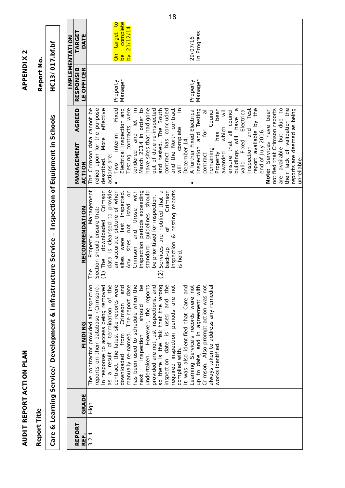|                                                                                                    |                                                | <u> 18</u>                                                                                                                                                                                                                                                                                                                                                                                                                                                                                                                                                                                                                                                                                                                                                                                                                                                                                                                                                                                                          |
|----------------------------------------------------------------------------------------------------|------------------------------------------------|---------------------------------------------------------------------------------------------------------------------------------------------------------------------------------------------------------------------------------------------------------------------------------------------------------------------------------------------------------------------------------------------------------------------------------------------------------------------------------------------------------------------------------------------------------------------------------------------------------------------------------------------------------------------------------------------------------------------------------------------------------------------------------------------------------------------------------------------------------------------------------------------------------------------------------------------------------------------------------------------------------------------|
|                                                                                                    | <b>TARGET</b><br>DATE<br><b>IMPLEMENTATION</b> | complete<br>target to<br>21/12/14<br>In Progress<br>29/07/16<br>$\frac{1}{\alpha}$<br>δ<br><u>be</u>                                                                                                                                                                                                                                                                                                                                                                                                                                                                                                                                                                                                                                                                                                                                                                                                                                                                                                                |
| HC13/017.bf.bf<br>Report No.                                                                       | <b>RESPONSIB</b><br>LE OFFICER                 | Manager<br>Manager<br>Property<br>Property                                                                                                                                                                                                                                                                                                                                                                                                                                                                                                                                                                                                                                                                                                                                                                                                                                                                                                                                                                          |
|                                                                                                    | <b>AGREED</b><br>MANAGEMENT<br>ACTION          | tendered and let in<br>March 2014 in order to<br>and tested. The South<br>and the North contract<br>$\subseteq$<br>available but due to<br>relied upon for the purpose<br>effective<br>Fixed<br>Testing contracts were<br>have sites that had gone<br>out of date re-inspected<br>contract has concluded<br>A further Fixed Electrical<br>Testing<br>Council<br>Electrical<br>Test<br>Note: Services have been<br>notified that Crimson reports<br>their lack of validation the<br>The Crimson data cannot be<br>Electrical Inspection and<br>been<br>$\overline{\mathsf{w}}$ ill<br>ensure that all council<br>ρ,<br>report available by the<br>$\overline{5}$<br>reports are deemed as being<br>buildings will have<br>which<br>complete<br>and<br>end of July 2016.<br>for<br>and<br>has<br>More<br>interim<br>valid Fixed<br>December 14.<br>nspection<br>nspection<br>emaining<br>contract<br>Property<br>awarded<br>actions are:<br>described.<br>unreliable.<br>Two<br>$\overline{\overline{z}}$<br>are<br>٠ |
|                                                                                                    | <b>RECOMMENDATION</b>                          | Any sites not listed on<br>Crimson<br>inspection & testing reports<br>Management<br>data is cleansed to provide<br>an accurate picture of when<br>last inspected.<br>Crimson and those with<br>$\sigma$<br>downloaded Crimson<br>inspection periods exceeding<br>guidelines should<br>be prioritised for inspection.<br>are notified that<br>The Property Manag<br>Section should ensure that:<br>'ნ<br>sites were<br>standard<br>Services<br>back-up<br>s held.<br>$(1)$ The<br>$\widehat{c}$                                                                                                                                                                                                                                                                                                                                                                                                                                                                                                                      |
| Care & Learning Service/ Development & Infrastructure Service – Inspection of Equipment in Schools | <b>FINDING</b>                                 | has been used to schedule when the<br>Crimson. Also prompt action was not<br>contract, the latest site reports were<br>manually re-named. The report date<br>9g<br>However, the reports<br>inspection date is used and the<br>not<br>up to date, and in agreement with<br>always taken to address any remedial<br>The contractor provided all inspection<br>as a result of termination of the<br>and<br>provided are not just inspections, and<br>not<br>so there is the risk that the wrong<br>and<br>In response to access being removed<br>reports on their database (Crimson)<br>Learning Service's records were<br>required inspection periods are<br>It was also identified that Care<br>Crimson<br>should<br>downloaded from<br>inspection<br>works identified.<br>complied with.<br>undertaken.<br>next                                                                                                                                                                                                     |
|                                                                                                    | GRADE                                          | High                                                                                                                                                                                                                                                                                                                                                                                                                                                                                                                                                                                                                                                                                                                                                                                                                                                                                                                                                                                                                |
| Report Title                                                                                       | REPORT<br>REF.                                 | 3.2.4                                                                                                                                                                                                                                                                                                                                                                                                                                                                                                                                                                                                                                                                                                                                                                                                                                                                                                                                                                                                               |

AUDIT REPORT ACTION PLAN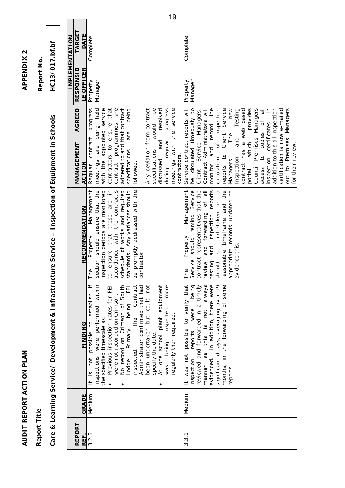| <b>TARGET</b><br>DATE<br><b>IMPLEMENTATION</b><br>Complete<br>Complete<br>HC13/017.bf.bf<br>Report No.<br><b>RESPONSIB</b><br>LE OFFICER<br>Manager<br>Manager<br>Property<br>Property<br>new<br>$\equiv$<br>contractors to ensure that<br>are<br>9q<br>resolved<br>be circulated timeously to<br>the<br>Client Service<br>provides<br>Premises Managers<br>addition to this all inspection<br>progress<br>being held<br>appointed service<br>adhered to and that contract<br>Any deviation from contract<br>progress<br>service<br>Service contract reports will<br>of inspection<br>Testing<br>a web based<br>$\overline{5}$<br>certification is now e-mailed<br>out to Premises Managers<br>being<br>Contract Administrators will<br>AGREED<br>Managers.<br>Care & Learning Service/ Development & Infrastructure Service – Inspection of Equipment in Schools<br>to copies of<br>certificates.<br>programmes<br>would<br>record<br>meetings with the<br>are<br>The<br>contract<br>and<br>and<br>regular<br>Client Service<br>which<br>MANAGEMENT<br>are<br>and<br>contract has<br>specifications<br>specifications<br>contractors.<br>reports to<br>inspection<br>circulation<br>Inspection<br>Managers.<br>discussed<br>contract<br>with the<br>meetings<br>followed.<br>ACTION<br>Regular<br>monitor<br>Council<br>during<br>access<br>portal<br>these are in<br>accordance with the contract's<br>Service<br>contract representatives that the<br>timeframe and the<br>Management<br>ensure that the<br>schedule of works and required<br>standards. Any variances should<br>promptly addressed with the<br>Management<br>of all<br>reports<br>appropriate records updated to<br>inspection periods are monitored<br>$\sigma$<br>$\equiv$<br><b>RECOMMENDATION</b><br>undertaken<br>remind<br>inspection<br>forwarding<br>that<br>should<br>Property<br>Property<br>Section should<br>and<br>evidence this<br>and<br><u>od</u><br>ensure<br>reasonable<br>contractor<br>Service<br>review<br>testing<br>should<br>$\Phi$<br>$\mathbb{O}$<br>$\overline{c}$<br>Ě<br>$\mathcal{S}^{\mathbb{O}}$<br>Ě<br>$\ddot{}$<br>At one school plant equipment<br>months, in the forwarding of some<br>performed within<br>No record on Crimson of South<br>been undertaken but could not<br>more<br>to verify that<br>always<br>In addition, there were<br>significant delays, averaging over 19<br>Contract<br>Administrator confirmed that had<br>being<br>reviewed and forwarded in a timely<br>Previous inspection dates for FEI<br>띧<br>establish<br>were not recorded on Crimson.<br>being<br>were<br>this is not<br>inspected<br>regularly than required.<br>The<br>the specified timescale as:<br>possible to<br>FINDING<br>Primary<br>possible<br>reports<br>specify the date.<br>were<br>being<br>inspected.<br>as<br>was not<br>inspections<br>evidenced.<br>It is not<br>inspection<br>Lodge<br>was<br>manner<br>reports<br>$\pm$<br>$\bullet$<br>٠<br>Medium<br>Medium<br>GRADE<br>Report Title<br>REPORT<br>3.2.5<br>REF.<br>3.3.1 |  | AUDIT REPORT ACTION PLAN |                   | <b>APPENDIX2</b> |    |
|--------------------------------------------------------------------------------------------------------------------------------------------------------------------------------------------------------------------------------------------------------------------------------------------------------------------------------------------------------------------------------------------------------------------------------------------------------------------------------------------------------------------------------------------------------------------------------------------------------------------------------------------------------------------------------------------------------------------------------------------------------------------------------------------------------------------------------------------------------------------------------------------------------------------------------------------------------------------------------------------------------------------------------------------------------------------------------------------------------------------------------------------------------------------------------------------------------------------------------------------------------------------------------------------------------------------------------------------------------------------------------------------------------------------------------------------------------------------------------------------------------------------------------------------------------------------------------------------------------------------------------------------------------------------------------------------------------------------------------------------------------------------------------------------------------------------------------------------------------------------------------------------------------------------------------------------------------------------------------------------------------------------------------------------------------------------------------------------------------------------------------------------------------------------------------------------------------------------------------------------------------------------------------------------------------------------------------------------------------------------------------------------------------------------------------------------------------------------------------------------------------------------------------------------------------------------------------------------------------------------------------------------------------------------------------------------------------------------------------------------------------------------------------------------------------------------------------------------------------------------------------------------------------------------------------------------------------------------------------------------------------------------------------------------|--|--------------------------|-------------------|------------------|----|
|                                                                                                                                                                                                                                                                                                                                                                                                                                                                                                                                                                                                                                                                                                                                                                                                                                                                                                                                                                                                                                                                                                                                                                                                                                                                                                                                                                                                                                                                                                                                                                                                                                                                                                                                                                                                                                                                                                                                                                                                                                                                                                                                                                                                                                                                                                                                                                                                                                                                                                                                                                                                                                                                                                                                                                                                                                                                                                                                                                                                                                            |  |                          |                   |                  |    |
|                                                                                                                                                                                                                                                                                                                                                                                                                                                                                                                                                                                                                                                                                                                                                                                                                                                                                                                                                                                                                                                                                                                                                                                                                                                                                                                                                                                                                                                                                                                                                                                                                                                                                                                                                                                                                                                                                                                                                                                                                                                                                                                                                                                                                                                                                                                                                                                                                                                                                                                                                                                                                                                                                                                                                                                                                                                                                                                                                                                                                                            |  |                          |                   |                  |    |
|                                                                                                                                                                                                                                                                                                                                                                                                                                                                                                                                                                                                                                                                                                                                                                                                                                                                                                                                                                                                                                                                                                                                                                                                                                                                                                                                                                                                                                                                                                                                                                                                                                                                                                                                                                                                                                                                                                                                                                                                                                                                                                                                                                                                                                                                                                                                                                                                                                                                                                                                                                                                                                                                                                                                                                                                                                                                                                                                                                                                                                            |  |                          |                   |                  |    |
|                                                                                                                                                                                                                                                                                                                                                                                                                                                                                                                                                                                                                                                                                                                                                                                                                                                                                                                                                                                                                                                                                                                                                                                                                                                                                                                                                                                                                                                                                                                                                                                                                                                                                                                                                                                                                                                                                                                                                                                                                                                                                                                                                                                                                                                                                                                                                                                                                                                                                                                                                                                                                                                                                                                                                                                                                                                                                                                                                                                                                                            |  |                          |                   |                  |    |
|                                                                                                                                                                                                                                                                                                                                                                                                                                                                                                                                                                                                                                                                                                                                                                                                                                                                                                                                                                                                                                                                                                                                                                                                                                                                                                                                                                                                                                                                                                                                                                                                                                                                                                                                                                                                                                                                                                                                                                                                                                                                                                                                                                                                                                                                                                                                                                                                                                                                                                                                                                                                                                                                                                                                                                                                                                                                                                                                                                                                                                            |  |                          |                   |                  |    |
|                                                                                                                                                                                                                                                                                                                                                                                                                                                                                                                                                                                                                                                                                                                                                                                                                                                                                                                                                                                                                                                                                                                                                                                                                                                                                                                                                                                                                                                                                                                                                                                                                                                                                                                                                                                                                                                                                                                                                                                                                                                                                                                                                                                                                                                                                                                                                                                                                                                                                                                                                                                                                                                                                                                                                                                                                                                                                                                                                                                                                                            |  |                          |                   |                  |    |
|                                                                                                                                                                                                                                                                                                                                                                                                                                                                                                                                                                                                                                                                                                                                                                                                                                                                                                                                                                                                                                                                                                                                                                                                                                                                                                                                                                                                                                                                                                                                                                                                                                                                                                                                                                                                                                                                                                                                                                                                                                                                                                                                                                                                                                                                                                                                                                                                                                                                                                                                                                                                                                                                                                                                                                                                                                                                                                                                                                                                                                            |  |                          |                   |                  | 19 |
|                                                                                                                                                                                                                                                                                                                                                                                                                                                                                                                                                                                                                                                                                                                                                                                                                                                                                                                                                                                                                                                                                                                                                                                                                                                                                                                                                                                                                                                                                                                                                                                                                                                                                                                                                                                                                                                                                                                                                                                                                                                                                                                                                                                                                                                                                                                                                                                                                                                                                                                                                                                                                                                                                                                                                                                                                                                                                                                                                                                                                                            |  |                          | for their review. |                  |    |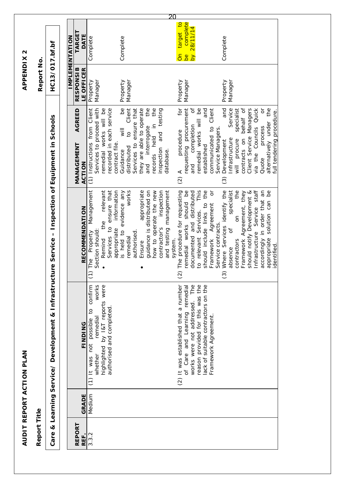|                                                                                                                    |  |                       |                                |                                                                                                                                                                          | 20                                                                                                                                                                                                                                                |                                                                                                                                                                                                                               |                                                                                                                                                                                                                                                                                                        |
|--------------------------------------------------------------------------------------------------------------------|--|-----------------------|--------------------------------|--------------------------------------------------------------------------------------------------------------------------------------------------------------------------|---------------------------------------------------------------------------------------------------------------------------------------------------------------------------------------------------------------------------------------------------|-------------------------------------------------------------------------------------------------------------------------------------------------------------------------------------------------------------------------------|--------------------------------------------------------------------------------------------------------------------------------------------------------------------------------------------------------------------------------------------------------------------------------------------------------|
|                                                                                                                    |  | <b>IMPLEMENTATION</b> | <b>TARGE</b><br>DATE           | Complete                                                                                                                                                                 | Complete                                                                                                                                                                                                                                          | complete<br>target to<br>by 28/11/14<br>å<br><u>be</u>                                                                                                                                                                        | Complete                                                                                                                                                                                                                                                                                               |
| HC13/017.bf.bf<br>Report No.                                                                                       |  |                       | <b>RESPONSIB</b><br>LE OFFICER | Manager<br>Property                                                                                                                                                      | Manager<br>Property                                                                                                                                                                                                                               | Manager<br>Property                                                                                                                                                                                                           | Manager<br>Property                                                                                                                                                                                                                                                                                    |
| Care & Learning Service/ Development & Infrastructure Service - Inspection of Equipment in Schools<br>Report Title |  |                       | AGREED<br>MANAGEMENT<br>ACTION | Services to proceed with<br>remedial works will be<br>recorded in each service<br>(1) Instructions from Client<br>contract file.                                         | $\mathsf{B}^{\mathsf{C}}$<br>Client<br>Services to ensure that<br>they are able to operate<br>the<br>the<br>and testing<br>records held in<br>and interrogate<br>$\equiv$<br>$\overline{c}$<br>inspection<br>distributed<br>database.<br>Guidance | requesting procurement<br>ĮÓ<br>ð<br>remedial works will be<br>and<br>communicated to Client<br>completion<br>Service Managers.<br>procedure<br>established<br>and<br>$(2)$ A                                                 | and<br>Client Service Managers<br>via the Councils Quick<br>Service<br>behalf of<br>the<br>specialist<br>ð<br>full tendering procedure.<br>alternatively under<br>process<br>contracts on<br>nfrastructure<br>will procure<br>Development<br>Quote<br>$\widehat{c}$                                    |
|                                                                                                                    |  |                       | <b>RECOMMENDATION</b>          | the relevant<br>Services to ensure that<br>appropriate information<br>Management<br>Section should<br>The Property<br>Remind                                             | guidance is distributed on<br>works<br>appropriate<br>how to operate the new<br>and testing management<br>is held to evidence any<br>inspection<br>contractor's<br>authorised<br>remedial<br>system.<br>Ensure                                    | to relevant Services. This<br>should include links to the<br>remedial works should be<br>$\sigma$<br>The procedure for requesting<br>documented and distributed<br>Framework Agreement<br>Service contracts.<br>$\widehat{c}$ | Infrastructure Service staff<br>accordingly in order that an<br>Where Services identify the<br>the<br>appropriate solution can be<br>specialist<br>Framework Agreement, they<br>should notify Development &<br>$\overline{a}$<br>$\sigma$<br>contractors<br>identified<br>absence<br>$\widehat{\odot}$ |
|                                                                                                                    |  |                       | <b>FINDING</b>                 | highlighted by I&T reports were<br>confirm<br>works<br>authorised and completed<br>$\overline{c}$<br>remedial<br>possible<br>not<br>whether<br>It was<br>$\widehat{\Xi}$ |                                                                                                                                                                                                                                                   | reason provided for this was the<br>works were not addressed. The<br>lack of suitable contractors on the<br>(2) It was established that a number<br>of Care and Learning remedial<br>Framework Agreement.                     |                                                                                                                                                                                                                                                                                                        |
|                                                                                                                    |  |                       | GRADE                          | Medium                                                                                                                                                                   |                                                                                                                                                                                                                                                   |                                                                                                                                                                                                                               |                                                                                                                                                                                                                                                                                                        |
|                                                                                                                    |  |                       | <b>REPORT</b><br>REF.          | 3.3.2                                                                                                                                                                    |                                                                                                                                                                                                                                                   |                                                                                                                                                                                                                               |                                                                                                                                                                                                                                                                                                        |

AUDIT REPORT ACTION PLAN